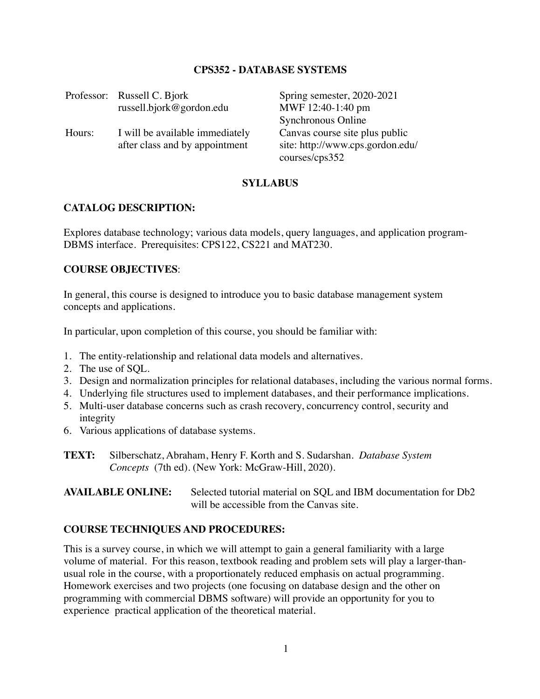## **CPS352 - DATABASE SYSTEMS**

|        | Professor: Russell C. Bjork<br>russell.bjork@gordon.edu           | Spring semester, 2020-2021<br>MWF 12:40-1:40 pm                                                            |
|--------|-------------------------------------------------------------------|------------------------------------------------------------------------------------------------------------|
| Hours: | I will be available immediately<br>after class and by appointment | Synchronous Online<br>Canvas course site plus public<br>site: http://www.cps.gordon.edu/<br>courses/cps352 |

#### **SYLLABUS**

#### **CATALOG DESCRIPTION:**

Explores database technology; various data models, query languages, and application program-DBMS interface. Prerequisites: CPS122, CS221 and MAT230.

#### **COURSE OBJECTIVES**:

In general, this course is designed to introduce you to basic database management system concepts and applications.

In particular, upon completion of this course, you should be familiar with:

- 1. The entity-relationship and relational data models and alternatives.
- 2. The use of SQL.
- 3. Design and normalization principles for relational databases, including the various normal forms.
- 4. Underlying file structures used to implement databases, and their performance implications.
- 5. Multi-user database concerns such as crash recovery, concurrency control, security and integrity
- 6. Various applications of database systems.
- **TEXT:** Silberschatz, Abraham, Henry F. Korth and S. Sudarshan. *Database System Concepts* (7th ed). (New York: McGraw-Hill, 2020).

**AVAILABLE ONLINE:** Selected tutorial material on SQL and IBM documentation for Db2 will be accessible from the Canvas site.

## **COURSE TECHNIQUES AND PROCEDURES:**

This is a survey course, in which we will attempt to gain a general familiarity with a large volume of material. For this reason, textbook reading and problem sets will play a larger-thanusual role in the course, with a proportionately reduced emphasis on actual programming. Homework exercises and two projects (one focusing on database design and the other on programming with commercial DBMS software) will provide an opportunity for you to experience practical application of the theoretical material.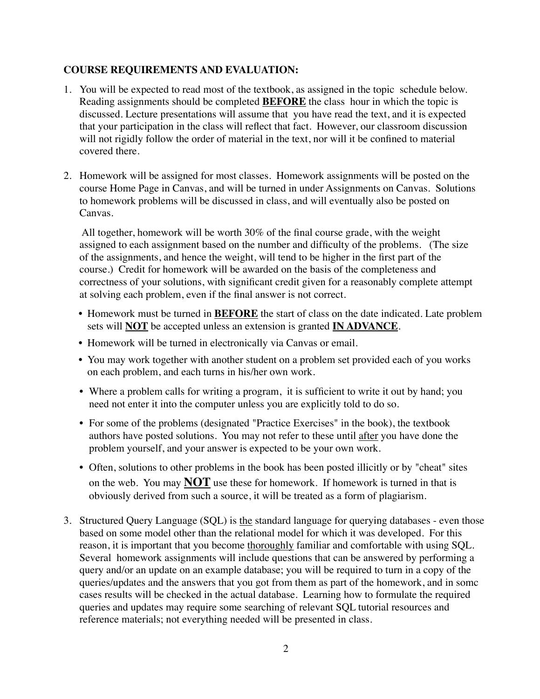## **COURSE REQUIREMENTS AND EVALUATION:**

- 1. You will be expected to read most of the textbook, as assigned in the topic schedule below. Reading assignments should be completed **BEFORE** the class hour in which the topic is discussed. Lecture presentations will assume that you have read the text, and it is expected that your participation in the class will reflect that fact. However, our classroom discussion will not rigidly follow the order of material in the text, nor will it be confined to material covered there.
- 2. Homework will be assigned for most classes. Homework assignments will be posted on the course Home Page in Canvas, and will be turned in under Assignments on Canvas. Solutions to homework problems will be discussed in class, and will eventually also be posted on Canvas.

 All together, homework will be worth 30% of the final course grade, with the weight assigned to each assignment based on the number and difficulty of the problems. (The size of the assignments, and hence the weight, will tend to be higher in the first part of the course.) Credit for homework will be awarded on the basis of the completeness and correctness of your solutions, with significant credit given for a reasonably complete attempt at solving each problem, even if the final answer is not correct.

- Homework must be turned in **BEFORE** the start of class on the date indicated. Late problem sets will **NOT** be accepted unless an extension is granted **IN ADVANCE**.
- Homework will be turned in electronically via Canvas or email.
- You may work together with another student on a problem set provided each of you works on each problem, and each turns in his/her own work.
- Where a problem calls for writing a program, it is sufficient to write it out by hand; you need not enter it into the computer unless you are explicitly told to do so.
- For some of the problems (designated "Practice Exercises" in the book), the textbook authors have posted solutions. You may not refer to these until after you have done the problem yourself, and your answer is expected to be your own work.
- Often, solutions to other problems in the book has been posted illicitly or by "cheat" sites on the web. You may **NOT** use these for homework. If homework is turned in that is obviously derived from such a source, it will be treated as a form of plagiarism.
- 3. Structured Query Language (SQL) is the standard language for querying databases even those based on some model other than the relational model for which it was developed. For this reason, it is important that you become thoroughly familiar and comfortable with using SQL. Several homework assignments will include questions that can be answered by performing a query and/or an update on an example database; you will be required to turn in a copy of the queries/updates and the answers that you got from them as part of the homework, and in somc cases results will be checked in the actual database. Learning how to formulate the required queries and updates may require some searching of relevant SQL tutorial resources and reference materials; not everything needed will be presented in class.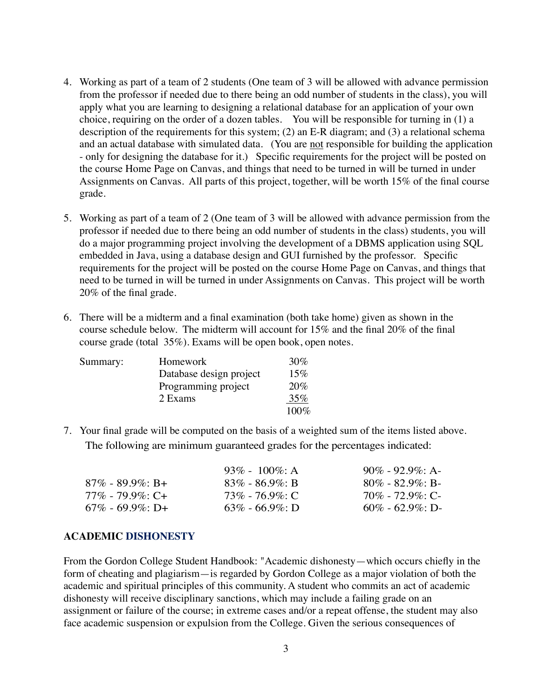- 4. Working as part of a team of 2 students (One team of 3 will be allowed with advance permission from the professor if needed due to there being an odd number of students in the class), you will apply what you are learning to designing a relational database for an application of your own choice, requiring on the order of a dozen tables. You will be responsible for turning in (1) a description of the requirements for this system; (2) an E-R diagram; and (3) a relational schema and an actual database with simulated data. (You are not responsible for building the application - only for designing the database for it.) Specific requirements for the project will be posted on the course Home Page on Canvas, and things that need to be turned in will be turned in under Assignments on Canvas. All parts of this project, together, will be worth 15% of the final course grade.
- 5. Working as part of a team of 2 (One team of 3 will be allowed with advance permission from the professor if needed due to there being an odd number of students in the class) students, you will do a major programming project involving the development of a DBMS application using SQL embedded in Java, using a database design and GUI furnished by the professor. Specific requirements for the project will be posted on the course Home Page on Canvas, and things that need to be turned in will be turned in under Assignments on Canvas. This project will be worth 20% of the final grade.
- 6. There will be a midterm and a final examination (both take home) given as shown in the course schedule below. The midterm will account for 15% and the final 20% of the final course grade (total 35%). Exams will be open book, open notes.

| Summary: | Homework                | 30%     |
|----------|-------------------------|---------|
|          | Database design project | 15%     |
|          | Programming project     | 20%     |
|          | 2 Exams                 | 35%     |
|          |                         | $100\%$ |

7. Your final grade will be computed on the basis of a weighted sum of the items listed above. The following are minimum guaranteed grades for the percentages indicated:

|                        | 93\% - 100\%: A     | $90\% - 92.9\% \cdot A$ |
|------------------------|---------------------|-------------------------|
| $87\%$ - $89.9\%$ : B+ | $83\% - 86.9\%$ : B | $80\% - 82.9\%$ : B-    |
| $77\%$ - $79.9\%$ : C+ | $73\%$ - 76.9%: C   | $70\%$ - $72.9\%$ : C-  |
| $67\%$ - 69.9\%; D+    | $63\%$ - 66.9%: D   | $60\% - 62.9\%$ : D-    |

#### **ACADEMIC DISHONESTY**

From the Gordon College Student Handbook: "Academic dishonesty—which occurs chiefly in the form of cheating and plagiarism—is regarded by Gordon College as a major violation of both the academic and spiritual principles of this community. A student who commits an act of academic dishonesty will receive disciplinary sanctions, which may include a failing grade on an assignment or failure of the course; in extreme cases and/or a repeat offense, the student may also face academic suspension or expulsion from the College. Given the serious consequences of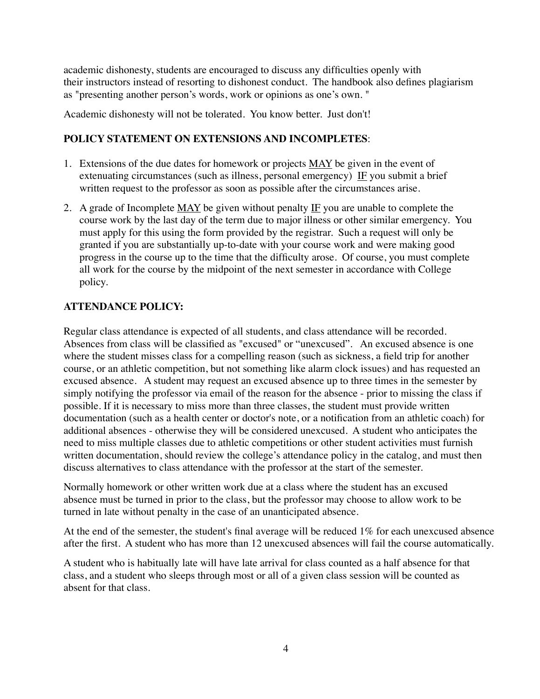academic dishonesty, students are encouraged to discuss any difficulties openly with their instructors instead of resorting to dishonest conduct. The handbook also defines plagiarism as "presenting another person's words, work or opinions as one's own. "

Academic dishonesty will not be tolerated. You know better. Just don't!

# **POLICY STATEMENT ON EXTENSIONS AND INCOMPLETES**:

- 1. Extensions of the due dates for homework or projects MAY be given in the event of extenuating circumstances (such as illness, personal emergency) IF you submit a brief written request to the professor as soon as possible after the circumstances arise.
- 2. A grade of Incomplete MAY be given without penalty IF you are unable to complete the course work by the last day of the term due to major illness or other similar emergency. You must apply for this using the form provided by the registrar. Such a request will only be granted if you are substantially up-to-date with your course work and were making good progress in the course up to the time that the difficulty arose. Of course, you must complete all work for the course by the midpoint of the next semester in accordance with College policy.

# **ATTENDANCE POLICY:**

Regular class attendance is expected of all students, and class attendance will be recorded. Absences from class will be classified as "excused" or "unexcused". An excused absence is one where the student misses class for a compelling reason (such as sickness, a field trip for another course, or an athletic competition, but not something like alarm clock issues) and has requested an excused absence. A student may request an excused absence up to three times in the semester by simply notifying the professor via email of the reason for the absence - prior to missing the class if possible. If it is necessary to miss more than three classes, the student must provide written documentation (such as a health center or doctor's note, or a notification from an athletic coach) for additional absences - otherwise they will be considered unexcused. A student who anticipates the need to miss multiple classes due to athletic competitions or other student activities must furnish written documentation, should review the college's attendance policy in the catalog, and must then discuss alternatives to class attendance with the professor at the start of the semester.

Normally homework or other written work due at a class where the student has an excused absence must be turned in prior to the class, but the professor may choose to allow work to be turned in late without penalty in the case of an unanticipated absence.

At the end of the semester, the student's final average will be reduced 1% for each unexcused absence after the first. A student who has more than 12 unexcused absences will fail the course automatically.

A student who is habitually late will have late arrival for class counted as a half absence for that class, and a student who sleeps through most or all of a given class session will be counted as absent for that class.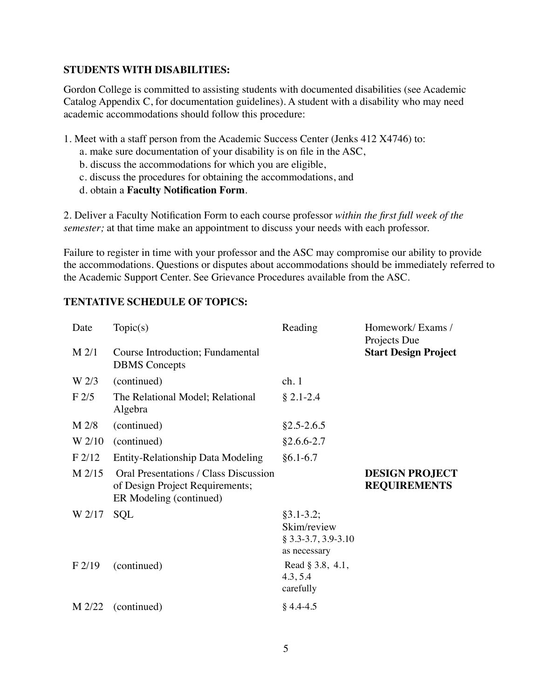## **STUDENTS WITH DISABILITIES:**

Gordon College is committed to assisting students with documented disabilities (see Academic Catalog Appendix C, for documentation guidelines). A student with a disability who may need academic accommodations should follow this procedure:

- 1. Meet with a staff person from the Academic Success Center (Jenks 412 X4746) to:
	- a. make sure documentation of your disability is on file in the ASC,
	- b. discuss the accommodations for which you are eligible,
	- c. discuss the procedures for obtaining the accommodations, and
	- d. obtain a **Faculty Notification Form**.

2. Deliver a Faculty Notification Form to each course professor *within the first full week of the semester;* at that time make an appointment to discuss your needs with each professor.

Failure to register in time with your professor and the ASC may compromise our ability to provide the accommodations. Questions or disputes about accommodations should be immediately referred to the Academic Support Center. See Grievance Procedures available from the ASC.

## **TENTATIVE SCHEDULE OF TOPICS:**

| Date             | Topic(s)                                                                                            | Reading                                                               | Homework/Exams/<br>Projects Due              |
|------------------|-----------------------------------------------------------------------------------------------------|-----------------------------------------------------------------------|----------------------------------------------|
| $M$ 2/1          | Course Introduction; Fundamental<br><b>DBMS</b> Concepts                                            |                                                                       | <b>Start Design Project</b>                  |
| W <sub>2/3</sub> | (continued)                                                                                         | ch.1                                                                  |                                              |
| F2/5             | The Relational Model; Relational<br>Algebra                                                         | $§ 2.1 - 2.4$                                                         |                                              |
| $M$ 2/8          | (continued)                                                                                         | $§2.5 - 2.6.5$                                                        |                                              |
| W 2/10           | (continued)                                                                                         | $§2.6.6 - 2.7$                                                        |                                              |
| F2/12            | Entity-Relationship Data Modeling                                                                   | $§6.1 - 6.7$                                                          |                                              |
| $M$ 2/15         | Oral Presentations / Class Discussion<br>of Design Project Requirements;<br>ER Modeling (continued) |                                                                       | <b>DESIGN PROJECT</b><br><b>REQUIREMENTS</b> |
| W 2/17           | <b>SQL</b>                                                                                          | $§3.1 - 3.2;$<br>Skim/review<br>$§$ 3.3-3.7, 3.9-3.10<br>as necessary |                                              |
| F2/19            | (continued)                                                                                         | Read § 3.8, 4.1,<br>4.3, 5.4<br>carefully                             |                                              |
|                  | $M$ 2/22 (continued)                                                                                | $§$ 4.4-4.5                                                           |                                              |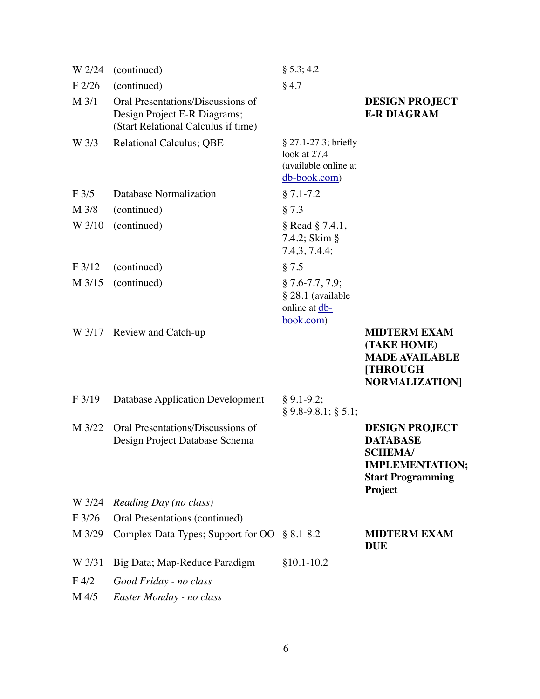| W 2/24           | (continued)                                                                                              | § 5.3; 4.2                                                                       |                                                                                                                             |
|------------------|----------------------------------------------------------------------------------------------------------|----------------------------------------------------------------------------------|-----------------------------------------------------------------------------------------------------------------------------|
| F2/26            | (continued)                                                                                              | $§$ 4.7                                                                          |                                                                                                                             |
| M 3/1            | Oral Presentations/Discussions of<br>Design Project E-R Diagrams;<br>(Start Relational Calculus if time) |                                                                                  | <b>DESIGN PROJECT</b><br><b>E-R DIAGRAM</b>                                                                                 |
| W 3/3            | <b>Relational Calculus; QBE</b>                                                                          | $§ 27.1 - 27.3; briefly$<br>look at 27.4<br>(available online at<br>db-book.com) |                                                                                                                             |
| $F$ 3/5          | Database Normalization                                                                                   | $§ 7.1 - 7.2$                                                                    |                                                                                                                             |
| M 3/8            | (continued)                                                                                              | § 7.3                                                                            |                                                                                                                             |
| W 3/10           | (continued)                                                                                              | $\S$ Read $\S$ 7.4.1,<br>7.4.2; Skim §<br>7.4, 3, 7.4.4;                         |                                                                                                                             |
| F3/12            | (continued)                                                                                              | § 7.5                                                                            |                                                                                                                             |
| M 3/15           | (continued)                                                                                              | $§ 7.6-7.7, 7.9;$<br>§ 28.1 (available<br>online at db-<br>book.com)             |                                                                                                                             |
|                  | W 3/17 Review and Catch-up                                                                               |                                                                                  | <b>MIDTERM EXAM</b><br>(TAKE HOME)<br><b>MADE AVAILABLE</b><br><b>[THROUGH]</b><br><b>NORMALIZATION</b>                     |
| F3/19            | <b>Database Application Development</b>                                                                  | $§ 9.1 - 9.2;$<br>$§ 9.8-9.8.1; § 5.1;$                                          |                                                                                                                             |
| M 3/22           | Oral Presentations/Discussions of<br>Design Project Database Schema                                      |                                                                                  | <b>DESIGN PROJECT</b><br><b>DATABASE</b><br><b>SCHEMA/</b><br><b>IMPLEMENTATION;</b><br><b>Start Programming</b><br>Project |
| W 3/24           | Reading Day (no class)                                                                                   |                                                                                  |                                                                                                                             |
| F3/26            | Oral Presentations (continued)                                                                           |                                                                                  |                                                                                                                             |
| M 3/29           | Complex Data Types; Support for OO § 8.1-8.2                                                             |                                                                                  | <b>MIDTERM EXAM</b><br><b>DUE</b>                                                                                           |
| W 3/31           | Big Data; Map-Reduce Paradigm                                                                            | $§10.1-10.2$                                                                     |                                                                                                                             |
| F <sub>4/2</sub> | Good Friday - no class                                                                                   |                                                                                  |                                                                                                                             |
| M 4/5            | Easter Monday - no class                                                                                 |                                                                                  |                                                                                                                             |